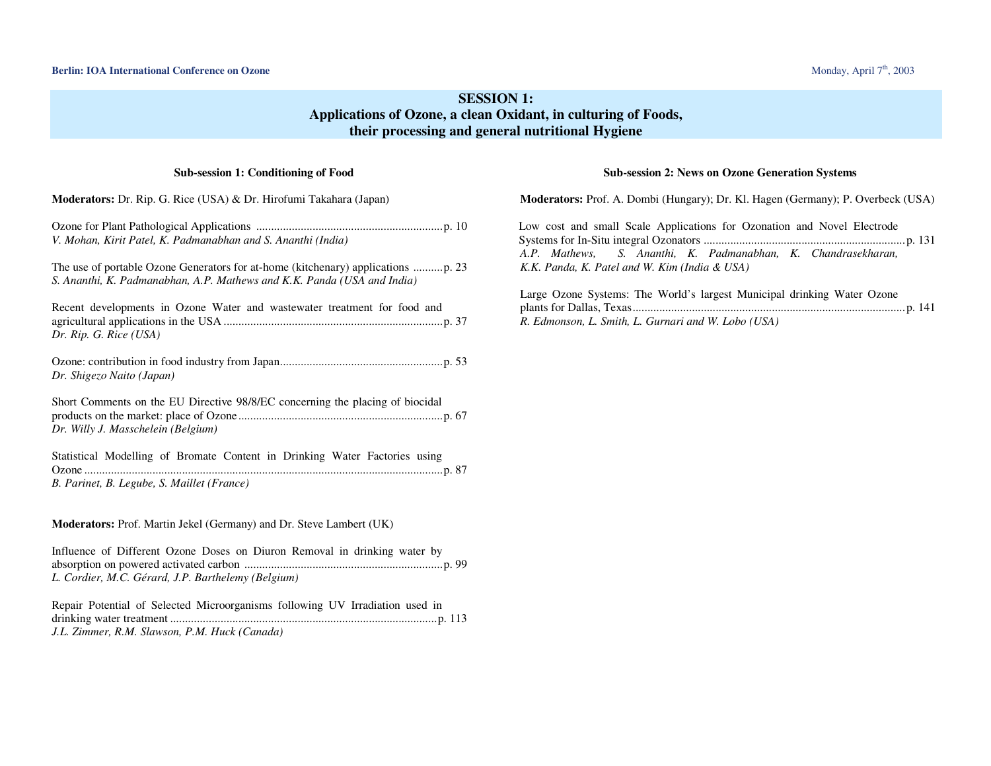# **SESSION 1: Applications of Ozone, a clean Oxidant, in culturing of Foods, their processing and general nutritional Hygiene**

## **Sub-session 1: Conditioning of Food**

| <b>Moderators:</b> Dr. Rip. G. Rice (USA) & Dr. Hirofumi Takahara (Japan)                                                       |
|---------------------------------------------------------------------------------------------------------------------------------|
| V. Mohan, Kirit Patel, K. Padmanabhan and S. Ananthi (India)                                                                    |
| S. Ananthi, K. Padmanabhan, A.P. Mathews and K.K. Panda (USA and India)                                                         |
| Recent developments in Ozone Water and wastewater treatment for food and<br>Dr. Rip. G. Rice (USA)                              |
| Dr. Shigezo Naito (Japan)                                                                                                       |
| Short Comments on the EU Directive 98/8/EC concerning the placing of biocidal<br>Dr. Willy J. Masschelein (Belgium)             |
| Statistical Modelling of Bromate Content in Drinking Water Factories using<br>B. Parinet, B. Legube, S. Maillet (France)        |
| Moderators: Prof. Martin Jekel (Germany) and Dr. Steve Lambert (UK)                                                             |
| Influence of Different Ozone Doses on Diuron Removal in drinking water by<br>L. Cordier, M.C. Gérard, J.P. Barthelemy (Belgium) |
| Repair Potential of Selected Microorganisms following UV Irradiation used in<br>J.L. Zimmer, R.M. Slawson, P.M. Huck (Canada)   |

## **Sub-session 2: News on Ozone Generation Systems**

| <b>Moderators:</b> Prof. A. Dombi (Hungary); Dr. Kl. Hagen (Germany); P. Overbeck (USA)                                                                                                   |
|-------------------------------------------------------------------------------------------------------------------------------------------------------------------------------------------|
| Low cost and small Scale Applications for Ozonation and Novel Electrode<br>A.P. Mathews, S. Ananthi, K. Padmanabhan, K. Chandrasekharan,<br>K.K. Panda, K. Patel and W. Kim (India & USA) |
| Large Ozone Systems: The World's largest Municipal drinking Water Ozone<br>R. Edmonson, L. Smith, L. Gurnari and W. Lobo (USA)                                                            |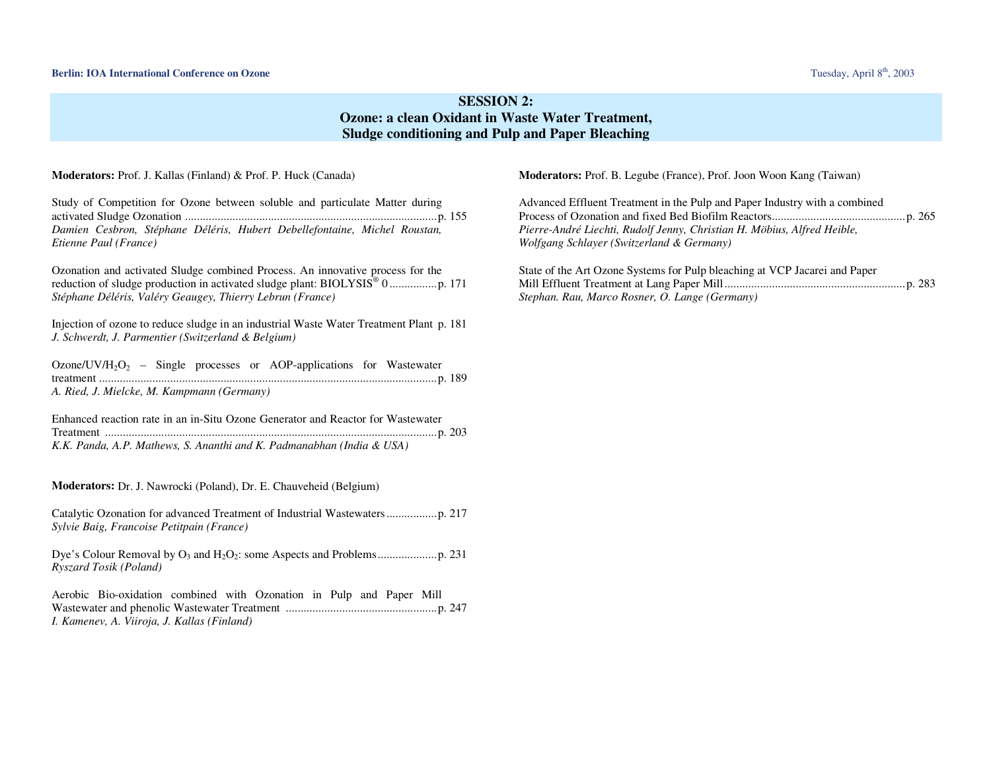# **SESSION 2: Ozone: a clean Oxidant in Waste Water Treatment, Sludge conditioning and Pulp and Paper Bleaching**

#### **Moderators:** Prof. J. Kallas (Finland) & Prof. P. Huck (Canada)

Study of Competition for Ozone between soluble and particulate Matter during activated Sludge Ozonation .....................................................................................p. 155 *Damien Cesbron, Stéphane Déléris, Hubert Debellefontaine, Michel Roustan, Etienne Paul (France)* 

Ozonation and activated Sludge combined Process. An innovative process for the reduction of sludge production in activated sludge plant: BIOLYSIS® 0 ................p. <sup>171</sup> *Stéphane Déléris, Valéry Geaugey, Thierry Lebrun (France)* 

Injection of ozone to reduce sludge in an industrial Waste Water Treatment Plant p. 181 *J. Schwerdt, J. Parmentier (Switzerland & Belgium)* 

Ozone/UV/H<sub>2</sub>O<sub>2</sub> – Single processes or AOP-applications for Wastewater treatment ..................................................................................................................p. 189 *A. Ried, J. Mielcke, M. Kampmann (Germany)* 

Enhanced reaction rate in an in-Situ Ozone Generator and Reactor for Wastewater Treatment ................................................................................................................p. 203 *K.K. Panda, A.P. Mathews, S. Ananthi and K. Padmanabhan (India & USA)* 

**Moderators:** Dr. J. Nawrocki (Poland), Dr. E. Chauveheid (Belgium)

Catalytic Ozonation for advanced Treatment of Industrial Wastewaters.................p. 217 *Sylvie Baig, Francoise Petitpain (France)* 

Dye's Colour Removal by O3 and H2O2: some Aspects and Problems....................p. 231 *Ryszard Tosik (Poland)* 

Aerobic Bio-oxidation combined with Ozonation in Pulp and Paper Mill Wastewater and phenolic Wastewater Treatment ...................................................p. 247 *I. Kamenev, A. Viiroja, J. Kallas (Finland)* 

**Moderators:** Prof. B. Legube (France), Prof. Joon Woon Kang (Taiwan)

Advanced Effluent Treatment in the Pulp and Paper Industry with a combined Process of Ozonation and fixed Bed Biofilm Reactors.............................................p. 265 *Pierre-André Liechti, Rudolf Jenny, Christian H. Möbius, Alfred Heible, Wolfgang Schlayer (Switzerland & Germany)*

State of the Art Ozone Systems for Pulp bleaching at VCP Jacarei and Paper Mill Effluent Treatment at Lang Paper Mill.............................................................p. 283 *Stephan. Rau, Marco Rosner, O. Lange (Germany)*